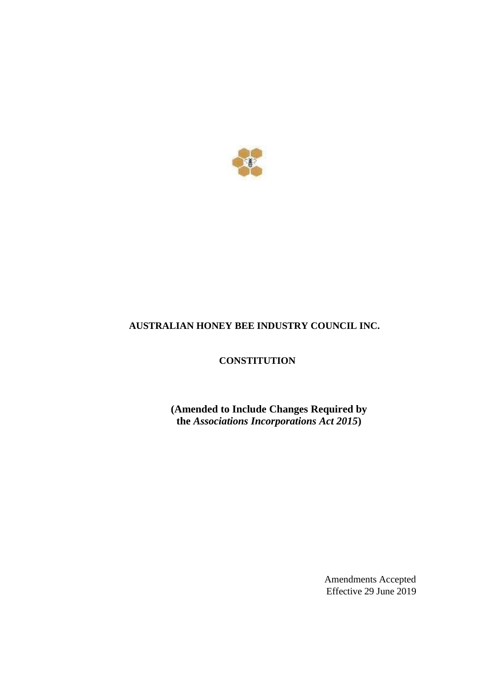

# **AUSTRALIAN HONEY BEE INDUSTRY COUNCIL INC.**

**CONSTITUTION**

**(Amended to Include Changes Required by the** *Associations Incorporations Act 2015***)**

> Amendments Accepted Effective 29 June 2019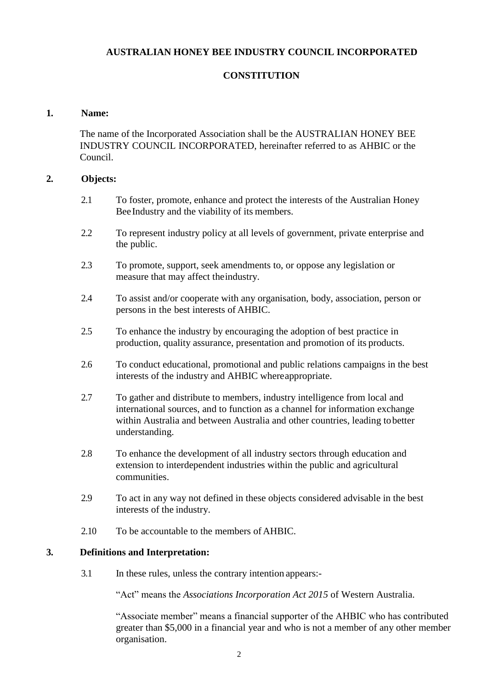## **AUSTRALIAN HONEY BEE INDUSTRY COUNCIL INCORPORATED**

### **CONSTITUTION**

#### **1. Name:**

The name of the Incorporated Association shall be the AUSTRALIAN HONEY BEE INDUSTRY COUNCIL INCORPORATED, hereinafter referred to as AHBIC or the Council.

### **2. Objects:**

- 2.1 To foster, promote, enhance and protect the interests of the Australian Honey Bee Industry and the viability of its members.
- 2.2 To represent industry policy at all levels of government, private enterprise and the public.
- 2.3 To promote, support, seek amendments to, or oppose any legislation or measure that may affect theindustry.
- 2.4 To assist and/or cooperate with any organisation, body, association, person or persons in the best interests of AHBIC.
- 2.5 To enhance the industry by encouraging the adoption of best practice in production, quality assurance, presentation and promotion of its products.
- 2.6 To conduct educational, promotional and public relations campaigns in the best interests of the industry and AHBIC whereappropriate.
- 2.7 To gather and distribute to members, industry intelligence from local and international sources, and to function as a channel for information exchange within Australia and between Australia and other countries, leading tobetter understanding.
- 2.8 To enhance the development of all industry sectors through education and extension to interdependent industries within the public and agricultural communities.
- 2.9 To act in any way not defined in these objects considered advisable in the best interests of the industry.
- 2.10 To be accountable to the members of AHBIC.

### **3. Definitions and Interpretation:**

3.1 In these rules, unless the contrary intention appears:-

"Act" means the *Associations Incorporation Act 2015* of Western Australia.

"Associate member" means a financial supporter of the AHBIC who has contributed greater than \$5,000 in a financial year and who is not a member of any other member organisation.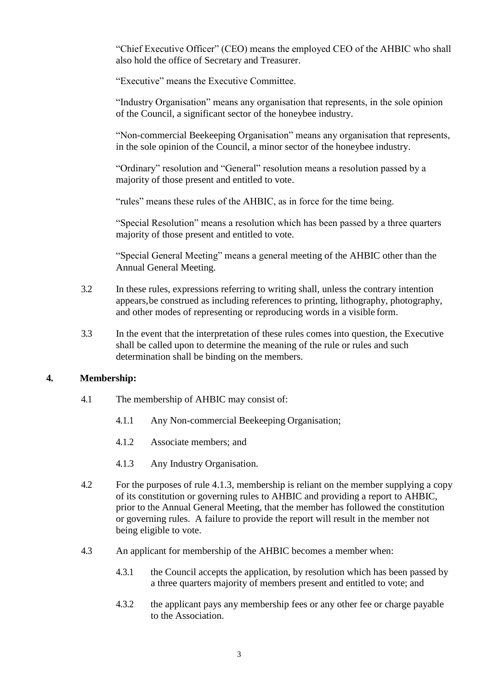"Chief Executive Officer" (CEO) means the employed CEO of the AHBIC who shall also hold the office of Secretary and Treasurer.

"Executive" means the Executive Committee.

"Industry Organisation" means any organisation that represents, in the sole opinion of the Council, a significant sector of the honeybee industry.

"Non-commercial Beekeeping Organisation" means any organisation that represents, in the sole opinion of the Council, a minor sector of the honeybee industry.

"Ordinary" resolution and "General" resolution means a resolution passed by a majority of those present and entitled to vote.

"rules" means these rules of the AHBIC, as in force for the time being.

"Special Resolution" means a resolution which has been passed by a three quarters majority of those present and entitled to vote.

"Special General Meeting" means a general meeting of the AHBIC other than the Annual General Meeting.

- 3.2 In these rules, expressions referring to writing shall, unless the contrary intention appears,be construed as including references to printing, lithography, photography, and other modes of representing or reproducing words in a visible form.
- 3.3 In the event that the interpretation of these rules comes into question, the Executive shall be called upon to determine the meaning of the rule or rules and such determination shall be binding on the members.

## **4. Membership:**

- 4.1 The membership of AHBIC may consist of:
	- 4.1.1 Any Non-commercial Beekeeping Organisation;
	- 4.1.2 Associate members; and
	- 4.1.3 Any Industry Organisation.
- 4.2 For the purposes of rule 4.1.3, membership is reliant on the member supplying a copy of its constitution or governing rules to AHBIC and providing a report to AHBIC, prior to the Annual General Meeting, that the member has followed the constitution or governing rules. A failure to provide the report will result in the member not being eligible to vote.
- 4.3 An applicant for membership of the AHBIC becomes a member when:
	- 4.3.1 the Council accepts the application, by resolution which has been passed by a three quarters majority of members present and entitled to vote; and
	- 4.3.2 the applicant pays any membership fees or any other fee or charge payable to the Association.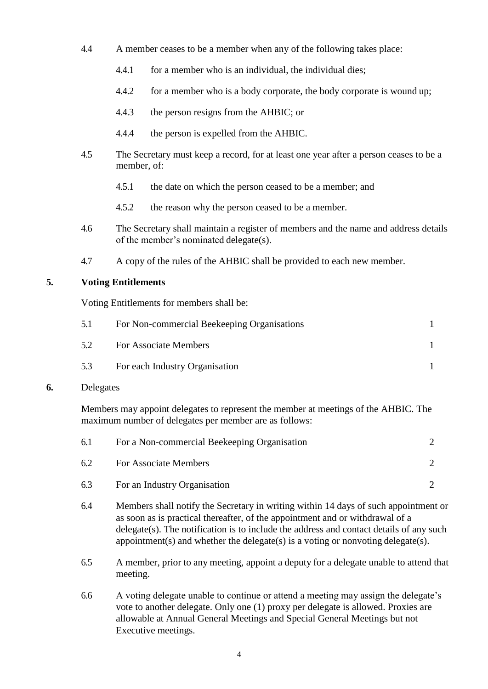- 4.4 A member ceases to be a member when any of the following takes place:
	- 4.4.1 for a member who is an individual, the individual dies;
	- 4.4.2 for a member who is a body corporate, the body corporate is wound up;
	- 4.4.3 the person resigns from the AHBIC; or
	- 4.4.4 the person is expelled from the AHBIC.
- 4.5 The Secretary must keep a record, for at least one year after a person ceases to be a member, of:
	- 4.5.1 the date on which the person ceased to be a member; and
	- 4.5.2 the reason why the person ceased to be a member.
- 4.6 The Secretary shall maintain a register of members and the name and address details of the member's nominated delegate(s).
- 4.7 A copy of the rules of the AHBIC shall be provided to each new member.

## **5. Voting Entitlements**

Voting Entitlements for members shall be:

| 5.1 | For Non-commercial Beekeeping Organisations |  |
|-----|---------------------------------------------|--|
| 5.2 | <b>For Associate Members</b>                |  |
| 5.3 | For each Industry Organisation              |  |

## **6.** Delegates

Members may appoint delegates to represent the member at meetings of the AHBIC. The maximum number of delegates per member are as follows:

| -6.1 | For a Non-commercial Beekeeping Organisation |  |
|------|----------------------------------------------|--|
| 6.2  | For Associate Members                        |  |
| 6.3  | For an Industry Organisation                 |  |

- 6.4 Members shall notify the Secretary in writing within 14 days of such appointment or as soon as is practical thereafter, of the appointment and or withdrawal of a delegate(s). The notification is to include the address and contact details of any such appointment(s) and whether the delegate(s) is a voting or nonvoting delegate(s).
- 6.5 A member, prior to any meeting, appoint a deputy for a delegate unable to attend that meeting.
- 6.6 A voting delegate unable to continue or attend a meeting may assign the delegate's vote to another delegate. Only one (1) proxy per delegate is allowed. Proxies are allowable at Annual General Meetings and Special General Meetings but not Executive meetings.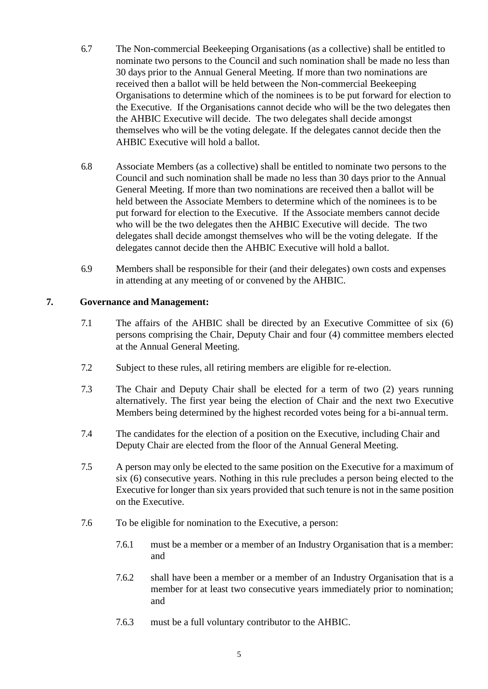- 6.7 The Non-commercial Beekeeping Organisations (as a collective) shall be entitled to nominate two persons to the Council and such nomination shall be made no less than 30 days prior to the Annual General Meeting. If more than two nominations are received then a ballot will be held between the Non-commercial Beekeeping Organisations to determine which of the nominees is to be put forward for election to the Executive. If the Organisations cannot decide who will be the two delegates then the AHBIC Executive will decide. The two delegates shall decide amongst themselves who will be the voting delegate. If the delegates cannot decide then the AHBIC Executive will hold a ballot.
- 6.8 Associate Members (as a collective) shall be entitled to nominate two persons to the Council and such nomination shall be made no less than 30 days prior to the Annual General Meeting. If more than two nominations are received then a ballot will be held between the Associate Members to determine which of the nominees is to be put forward for election to the Executive. If the Associate members cannot decide who will be the two delegates then the AHBIC Executive will decide. The two delegates shall decide amongst themselves who will be the voting delegate. If the delegates cannot decide then the AHBIC Executive will hold a ballot.
- 6.9 Members shall be responsible for their (and their delegates) own costs and expenses in attending at any meeting of or convened by the AHBIC.

## **7. Governance and Management:**

- 7.1 The affairs of the AHBIC shall be directed by an Executive Committee of six (6) persons comprising the Chair, Deputy Chair and four (4) committee members elected at the Annual General Meeting.
- 7.2 Subject to these rules, all retiring members are eligible for re-election.
- 7.3 The Chair and Deputy Chair shall be elected for a term of two (2) years running alternatively. The first year being the election of Chair and the next two Executive Members being determined by the highest recorded votes being for a bi-annual term.
- 7.4 The candidates for the election of a position on the Executive, including Chair and Deputy Chair are elected from the floor of the Annual General Meeting.
- 7.5 A person may only be elected to the same position on the Executive for a maximum of six (6) consecutive years. Nothing in this rule precludes a person being elected to the Executive for longer than six years provided that such tenure is not in the same position on the Executive.
- 7.6 To be eligible for nomination to the Executive, a person:
	- 7.6.1 must be a member or a member of an Industry Organisation that is a member: and
	- 7.6.2 shall have been a member or a member of an Industry Organisation that is a member for at least two consecutive years immediately prior to nomination; and
	- 7.6.3 must be a full voluntary contributor to the AHBIC.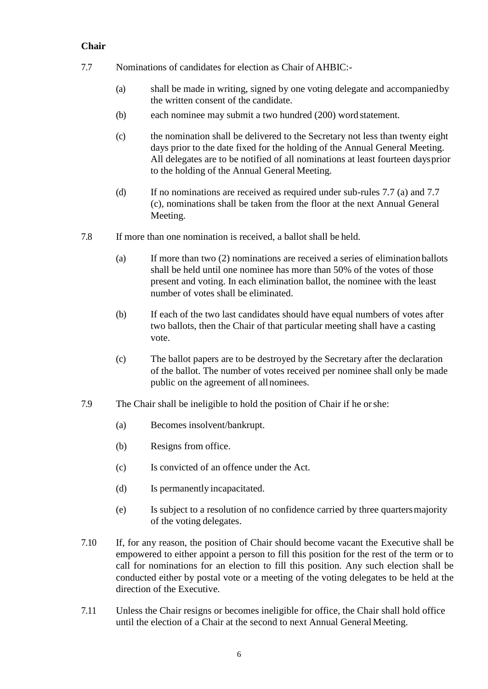## **Chair**

- 7.7 Nominations of candidates for election as Chair of AHBIC:-
	- (a) shall be made in writing, signed by one voting delegate and accompaniedby the written consent of the candidate.
	- (b) each nominee may submit a two hundred (200) word statement.
	- (c) the nomination shall be delivered to the Secretary not less than twenty eight days prior to the date fixed for the holding of the Annual General Meeting. All delegates are to be notified of all nominations at least fourteen daysprior to the holding of the Annual General Meeting.
	- (d) If no nominations are received as required under sub-rules 7.7 (a) and 7.7 (c), nominations shall be taken from the floor at the next Annual General Meeting.
- 7.8 If more than one nomination is received, a ballot shall be held.
	- (a) If more than two (2) nominations are received a series of elimination ballots shall be held until one nominee has more than 50% of the votes of those present and voting. In each elimination ballot, the nominee with the least number of votes shall be eliminated.
	- (b) If each of the two last candidates should have equal numbers of votes after two ballots, then the Chair of that particular meeting shall have a casting vote.
	- (c) The ballot papers are to be destroyed by the Secretary after the declaration of the ballot. The number of votes received per nominee shall only be made public on the agreement of allnominees.
- 7.9 The Chair shall be ineligible to hold the position of Chair if he orshe:
	- (a) Becomes insolvent/bankrupt.
	- (b) Resigns from office.
	- (c) Is convicted of an offence under the Act.
	- (d) Is permanently incapacitated.
	- (e) Is subject to a resolution of no confidence carried by three quartersmajority of the voting delegates.
- 7.10 If, for any reason, the position of Chair should become vacant the Executive shall be empowered to either appoint a person to fill this position for the rest of the term or to call for nominations for an election to fill this position. Any such election shall be conducted either by postal vote or a meeting of the voting delegates to be held at the direction of the Executive.
- 7.11 Unless the Chair resigns or becomes ineligible for office, the Chair shall hold office until the election of a Chair at the second to next Annual General Meeting.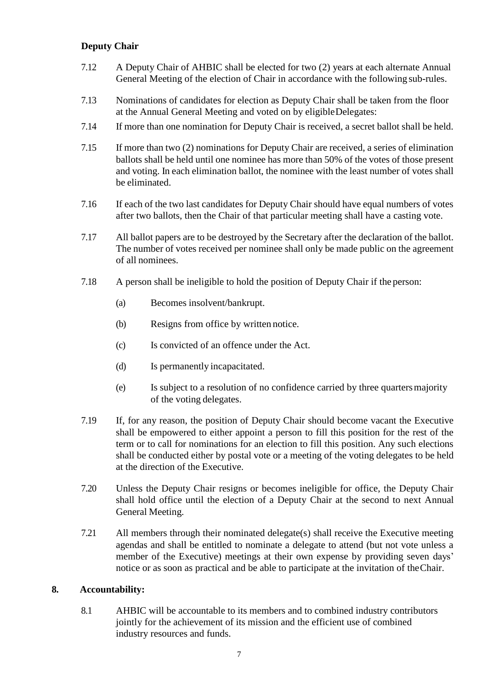## **Deputy Chair**

- 7.12 A Deputy Chair of AHBIC shall be elected for two (2) years at each alternate Annual General Meeting of the election of Chair in accordance with the following sub-rules.
- 7.13 Nominations of candidates for election as Deputy Chair shall be taken from the floor at the Annual General Meeting and voted on by eligibleDelegates:
- 7.14 If more than one nomination for Deputy Chair is received, a secret ballot shall be held.
- 7.15 If more than two (2) nominations for Deputy Chair are received, a series of elimination ballots shall be held until one nominee has more than 50% of the votes of those present and voting. In each elimination ballot, the nominee with the least number of votes shall be eliminated.
- 7.16 If each of the two last candidates for Deputy Chair should have equal numbers of votes after two ballots, then the Chair of that particular meeting shall have a casting vote.
- 7.17 All ballot papers are to be destroyed by the Secretary after the declaration of the ballot. The number of votes received per nominee shall only be made public on the agreement of all nominees.
- 7.18 A person shall be ineligible to hold the position of Deputy Chair if the person:
	- (a) Becomes insolvent/bankrupt.
	- (b) Resigns from office by written notice.
	- (c) Is convicted of an offence under the Act.
	- (d) Is permanently incapacitated.
	- (e) Is subject to a resolution of no confidence carried by three quartersmajority of the voting delegates.
- 7.19 If, for any reason, the position of Deputy Chair should become vacant the Executive shall be empowered to either appoint a person to fill this position for the rest of the term or to call for nominations for an election to fill this position. Any such elections shall be conducted either by postal vote or a meeting of the voting delegates to be held at the direction of the Executive.
- 7.20 Unless the Deputy Chair resigns or becomes ineligible for office, the Deputy Chair shall hold office until the election of a Deputy Chair at the second to next Annual General Meeting.
- 7.21 All members through their nominated delegate(s) shall receive the Executive meeting agendas and shall be entitled to nominate a delegate to attend (but not vote unless a member of the Executive) meetings at their own expense by providing seven days' notice or as soon as practical and be able to participate at the invitation of theChair.

## **8. Accountability:**

8.1 AHBIC will be accountable to its members and to combined industry contributors jointly for the achievement of its mission and the efficient use of combined industry resources and funds.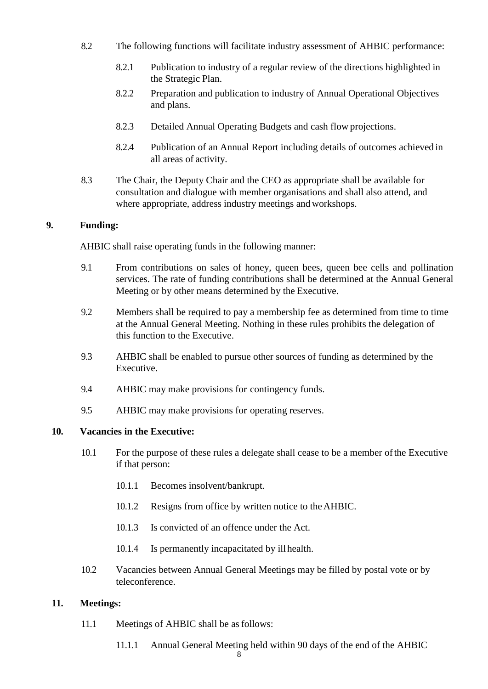- 8.2 The following functions will facilitate industry assessment of AHBIC performance:
	- 8.2.1 Publication to industry of a regular review of the directions highlighted in the Strategic Plan.
	- 8.2.2 Preparation and publication to industry of Annual Operational Objectives and plans.
	- 8.2.3 Detailed Annual Operating Budgets and cash flow projections.
	- 8.2.4 Publication of an Annual Report including details of outcomes achieved in all areas of activity.
- 8.3 The Chair, the Deputy Chair and the CEO as appropriate shall be available for consultation and dialogue with member organisations and shall also attend, and where appropriate, address industry meetings and workshops.

## **9. Funding:**

AHBIC shall raise operating funds in the following manner:

- 9.1 From contributions on sales of honey, queen bees, queen bee cells and pollination services. The rate of funding contributions shall be determined at the Annual General Meeting or by other means determined by the Executive.
- 9.2 Members shall be required to pay a membership fee as determined from time to time at the Annual General Meeting. Nothing in these rules prohibits the delegation of this function to the Executive.
- 9.3 AHBIC shall be enabled to pursue other sources of funding as determined by the Executive.
- 9.4 AHBIC may make provisions for contingency funds.
- 9.5 AHBIC may make provisions for operating reserves.

## **10. Vacancies in the Executive:**

- 10.1 For the purpose of these rules a delegate shall cease to be a member ofthe Executive if that person:
	- 10.1.1 Becomes insolvent/bankrupt.
	- 10.1.2 Resigns from office by written notice to theAHBIC.
	- 10.1.3 Is convicted of an offence under the Act.
	- 10.1.4 Is permanently incapacitated by illhealth.
- 10.2 Vacancies between Annual General Meetings may be filled by postal vote or by teleconference.

## **11. Meetings:**

- 11.1 Meetings of AHBIC shall be asfollows:
	- 11.1.1 Annual General Meeting held within 90 days of the end of the AHBIC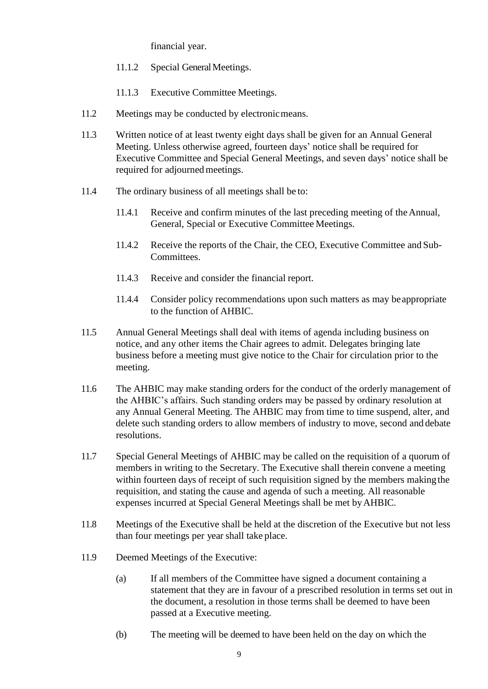financial year.

- 11.1.2 Special General Meetings.
- 11.1.3 Executive Committee Meetings.
- 11.2 Meetings may be conducted by electronic means.
- 11.3 Written notice of at least twenty eight days shall be given for an Annual General Meeting. Unless otherwise agreed, fourteen days' notice shall be required for Executive Committee and Special General Meetings, and seven days' notice shall be required for adjourned meetings.
- 11.4 The ordinary business of all meetings shall be to:
	- 11.4.1 Receive and confirm minutes of the last preceding meeting of theAnnual, General, Special or Executive Committee Meetings.
	- 11.4.2 Receive the reports of the Chair, the CEO, Executive Committee and Sub-Committees.
	- 11.4.3 Receive and consider the financial report.
	- 11.4.4 Consider policy recommendations upon such matters as may beappropriate to the function of AHBIC.
- 11.5 Annual General Meetings shall deal with items of agenda including business on notice, and any other items the Chair agrees to admit. Delegates bringing late business before a meeting must give notice to the Chair for circulation prior to the meeting.
- 11.6 The AHBIC may make standing orders for the conduct of the orderly management of the AHBIC's affairs. Such standing orders may be passed by ordinary resolution at any Annual General Meeting. The AHBIC may from time to time suspend, alter, and delete such standing orders to allow members of industry to move, second and debate resolutions.
- 11.7 Special General Meetings of AHBIC may be called on the requisition of a quorum of members in writing to the Secretary. The Executive shall therein convene a meeting within fourteen days of receipt of such requisition signed by the members making the requisition, and stating the cause and agenda of such a meeting. All reasonable expenses incurred at Special General Meetings shall be met byAHBIC.
- 11.8 Meetings of the Executive shall be held at the discretion of the Executive but not less than four meetings per year shall take place.
- 11.9 Deemed Meetings of the Executive:
	- (a) If all members of the Committee have signed a document containing a statement that they are in favour of a prescribed resolution in terms set out in the document, a resolution in those terms shall be deemed to have been passed at a Executive meeting.
	- (b) The meeting will be deemed to have been held on the day on which the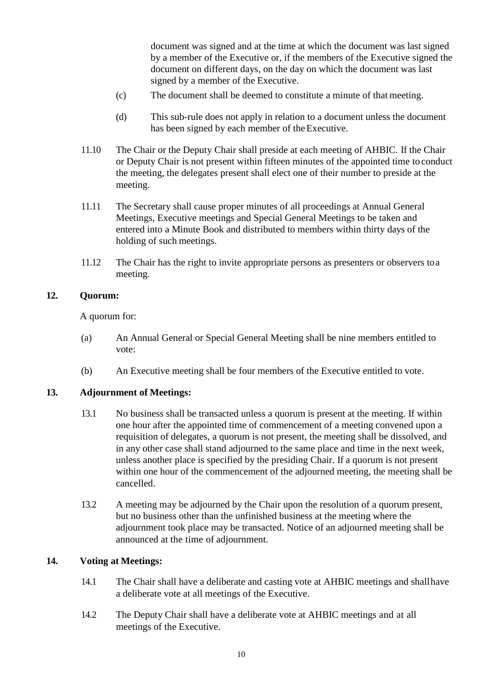document was signed and at the time at which the document was last signed by a member of the Executive or, if the members of the Executive signed the document on different days, on the day on which the document was last signed by a member of the Executive.

- (c) The document shall be deemed to constitute a minute of that meeting.
- (d) This sub-rule does not apply in relation to a document unless the document has been signed by each member of the Executive.
- 11.10 The Chair or the Deputy Chair shall preside at each meeting of AHBIC. If the Chair or Deputy Chair is not present within fifteen minutes of the appointed time to conduct the meeting, the delegates present shall elect one of their number to preside at the meeting.
- 11.11 The Secretary shall cause proper minutes of all proceedings at Annual General Meetings, Executive meetings and Special General Meetings to be taken and entered into a Minute Book and distributed to members within thirty days of the holding of such meetings.
- 11.12 The Chair has the right to invite appropriate persons as presenters or observers toa meeting.

### **12. Quorum:**

A quorum for:

- (a) An Annual General or Special General Meeting shall be nine members entitled to vote:
- (b) An Executive meeting shall be four members of the Executive entitled to vote.

## **13. Adjournment of Meetings:**

- 13.1 No business shall be transacted unless a quorum is present at the meeting. If within one hour after the appointed time of commencement of a meeting convened upon a requisition of delegates, a quorum is not present, the meeting shall be dissolved, and in any other case shall stand adjourned to the same place and time in the next week, unless another place is specified by the presiding Chair. If a quorum is not present within one hour of the commencement of the adjourned meeting, the meeting shall be cancelled.
- 13.2 A meeting may be adjourned by the Chair upon the resolution of a quorum present, but no business other than the unfinished business at the meeting where the adjournment took place may be transacted. Notice of an adjourned meeting shall be announced at the time of adjournment.

#### **14. Voting at Meetings:**

- 14.1 The Chair shall have a deliberate and casting vote at AHBIC meetings and shallhave a deliberate vote at all meetings of the Executive.
- 14.2 The Deputy Chair shall have a deliberate vote at AHBIC meetings and at all meetings of the Executive.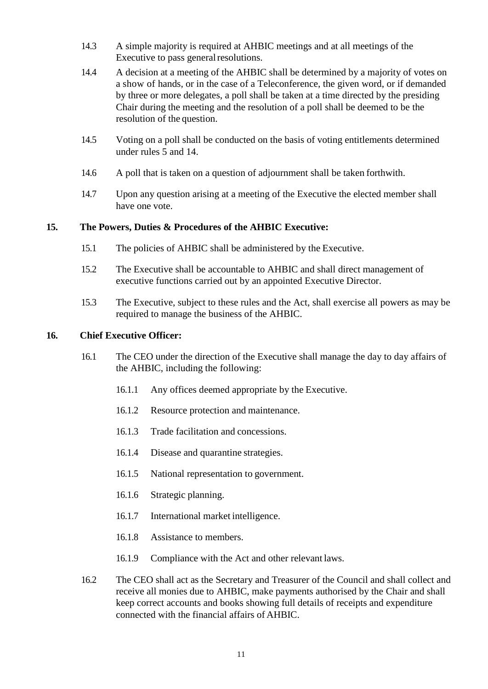- 14.3 A simple majority is required at AHBIC meetings and at all meetings of the Executive to pass general resolutions.
- 14.4 A decision at a meeting of the AHBIC shall be determined by a majority of votes on a show of hands, or in the case of a Teleconference, the given word, or if demanded by three or more delegates, a poll shall be taken at a time directed by the presiding Chair during the meeting and the resolution of a poll shall be deemed to be the resolution of the question.
- 14.5 Voting on a poll shall be conducted on the basis of voting entitlements determined under rules 5 and 14.
- 14.6 A poll that is taken on a question of adjournment shall be taken forthwith.
- 14.7 Upon any question arising at a meeting of the Executive the elected member shall have one vote.

## **15. The Powers, Duties & Procedures of the AHBIC Executive:**

- 15.1 The policies of AHBIC shall be administered by the Executive.
- 15.2 The Executive shall be accountable to AHBIC and shall direct management of executive functions carried out by an appointed Executive Director.
- 15.3 The Executive, subject to these rules and the Act, shall exercise all powers as may be required to manage the business of the AHBIC.

## **16. Chief Executive Officer:**

- 16.1 The CEO under the direction of the Executive shall manage the day to day affairs of the AHBIC, including the following:
	- 16.1.1 Any offices deemed appropriate by the Executive.
	- 16.1.2 Resource protection and maintenance.
	- 16.1.3 Trade facilitation and concessions.
	- 16.1.4 Disease and quarantine strategies.
	- 16.1.5 National representation to government.
	- 16.1.6 Strategic planning.
	- 16.1.7 International market intelligence.
	- 16.1.8 Assistance to members.
	- 16.1.9 Compliance with the Act and other relevant laws.
- 16.2 The CEO shall act as the Secretary and Treasurer of the Council and shall collect and receive all monies due to AHBIC, make payments authorised by the Chair and shall keep correct accounts and books showing full details of receipts and expenditure connected with the financial affairs of AHBIC.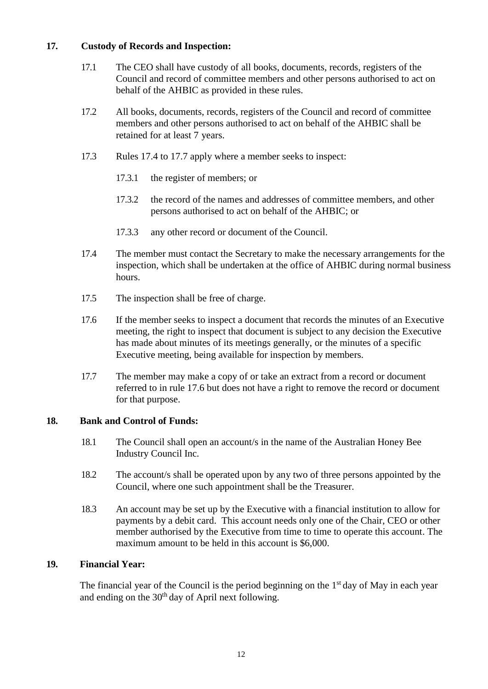## **17. Custody of Records and Inspection:**

- 17.1 The CEO shall have custody of all books, documents, records, registers of the Council and record of committee members and other persons authorised to act on behalf of the AHBIC as provided in these rules.
- 17.2 All books, documents, records, registers of the Council and record of committee members and other persons authorised to act on behalf of the AHBIC shall be retained for at least 7 years.
- 17.3 Rules 17.4 to 17.7 apply where a member seeks to inspect:
	- 17.3.1 the register of members; or
	- 17.3.2 the record of the names and addresses of committee members, and other persons authorised to act on behalf of the AHBIC; or
	- 17.3.3 any other record or document of the Council.
- 17.4 The member must contact the Secretary to make the necessary arrangements for the inspection, which shall be undertaken at the office of AHBIC during normal business hours.
- 17.5 The inspection shall be free of charge.
- 17.6 If the member seeks to inspect a document that records the minutes of an Executive meeting, the right to inspect that document is subject to any decision the Executive has made about minutes of its meetings generally, or the minutes of a specific Executive meeting, being available for inspection by members.
- 17.7 The member may make a copy of or take an extract from a record or document referred to in rule 17.6 but does not have a right to remove the record or document for that purpose.

# **18. Bank and Control of Funds:**

- 18.1 The Council shall open an account/s in the name of the Australian Honey Bee Industry Council Inc.
- 18.2 The account/s shall be operated upon by any two of three persons appointed by the Council, where one such appointment shall be the Treasurer.
- 18.3 An account may be set up by the Executive with a financial institution to allow for payments by a debit card. This account needs only one of the Chair, CEO or other member authorised by the Executive from time to time to operate this account. The maximum amount to be held in this account is \$6,000.

# **19. Financial Year:**

The financial year of the Council is the period beginning on the  $1<sup>st</sup>$  day of May in each year and ending on the  $30<sup>th</sup>$  day of April next following.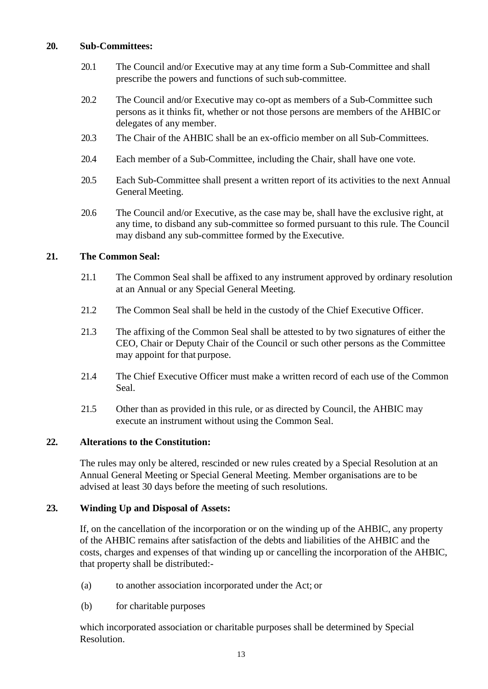## **20. Sub-Committees:**

- 20.1 The Council and/or Executive may at any time form a Sub-Committee and shall prescribe the powers and functions of such sub-committee.
- 20.2 The Council and/or Executive may co-opt as members of a Sub-Committee such persons as it thinks fit, whether or not those persons are members of the AHBIC or delegates of any member.
- 20.3 The Chair of the AHBIC shall be an ex-officio member on all Sub-Committees.
- 20.4 Each member of a Sub-Committee, including the Chair, shall have one vote.
- 20.5 Each Sub-Committee shall present a written report of its activities to the next Annual General Meeting.
- 20.6 The Council and/or Executive, as the case may be, shall have the exclusive right, at any time, to disband any sub-committee so formed pursuant to this rule. The Council may disband any sub-committee formed by the Executive.

# **21. The Common Seal:**

- 21.1 The Common Seal shall be affixed to any instrument approved by ordinary resolution at an Annual or any Special General Meeting.
- 21.2 The Common Seal shall be held in the custody of the Chief Executive Officer.
- 21.3 The affixing of the Common Seal shall be attested to by two signatures of either the CEO, Chair or Deputy Chair of the Council or such other persons as the Committee may appoint for that purpose.
- 21.4 The Chief Executive Officer must make a written record of each use of the Common Seal.
- 21.5 Other than as provided in this rule, or as directed by Council, the AHBIC may execute an instrument without using the Common Seal.

## **22. Alterations to the Constitution:**

The rules may only be altered, rescinded or new rules created by a Special Resolution at an Annual General Meeting or Special General Meeting. Member organisations are to be advised at least 30 days before the meeting of such resolutions.

# **23. Winding Up and Disposal of Assets:**

If, on the cancellation of the incorporation or on the winding up of the AHBIC, any property of the AHBIC remains after satisfaction of the debts and liabilities of the AHBIC and the costs, charges and expenses of that winding up or cancelling the incorporation of the AHBIC, that property shall be distributed:-

- (a) to another association incorporated under the Act; or
- (b) for charitable purposes

which incorporated association or charitable purposes shall be determined by Special Resolution.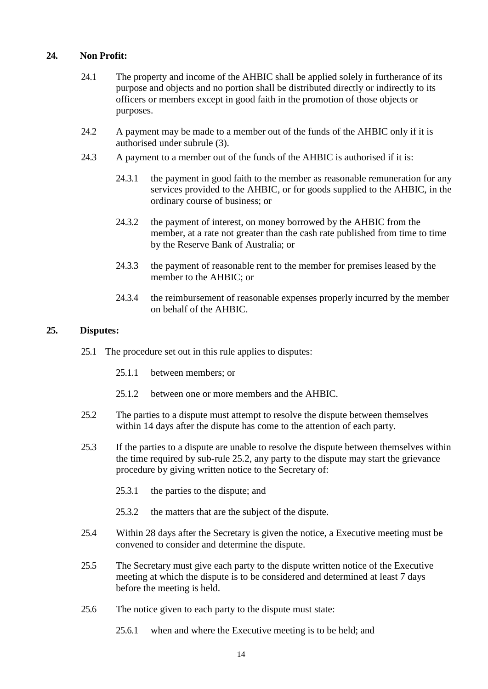## **24. Non Profit:**

- 24.1 The property and income of the AHBIC shall be applied solely in furtherance of its purpose and objects and no portion shall be distributed directly or indirectly to its officers or members except in good faith in the promotion of those objects or purposes.
- 24.2 A payment may be made to a member out of the funds of the AHBIC only if it is authorised under subrule (3).
- 24.3 A payment to a member out of the funds of the AHBIC is authorised if it is:
	- 24.3.1 the payment in good faith to the member as reasonable remuneration for any services provided to the AHBIC, or for goods supplied to the AHBIC, in the ordinary course of business; or
	- 24.3.2 the payment of interest, on money borrowed by the AHBIC from the member, at a rate not greater than the cash rate published from time to time by the Reserve Bank of Australia; or
	- 24.3.3 the payment of reasonable rent to the member for premises leased by the member to the AHBIC; or
	- 24.3.4 the reimbursement of reasonable expenses properly incurred by the member on behalf of the AHBIC.

#### **25. Disputes:**

- 25.1 The procedure set out in this rule applies to disputes:
	- 25.1.1 between members; or
	- 25.1.2 between one or more members and the AHBIC.
- 25.2 The parties to a dispute must attempt to resolve the dispute between themselves within 14 days after the dispute has come to the attention of each party.
- 25.3 If the parties to a dispute are unable to resolve the dispute between themselves within the time required by sub-rule 25.2, any party to the dispute may start the grievance procedure by giving written notice to the Secretary of:
	- 25.3.1 the parties to the dispute; and
	- 25.3.2 the matters that are the subject of the dispute.
- 25.4 Within 28 days after the Secretary is given the notice, a Executive meeting must be convened to consider and determine the dispute.
- 25.5 The Secretary must give each party to the dispute written notice of the Executive meeting at which the dispute is to be considered and determined at least 7 days before the meeting is held.
- 25.6 The notice given to each party to the dispute must state:
	- 25.6.1 when and where the Executive meeting is to be held; and